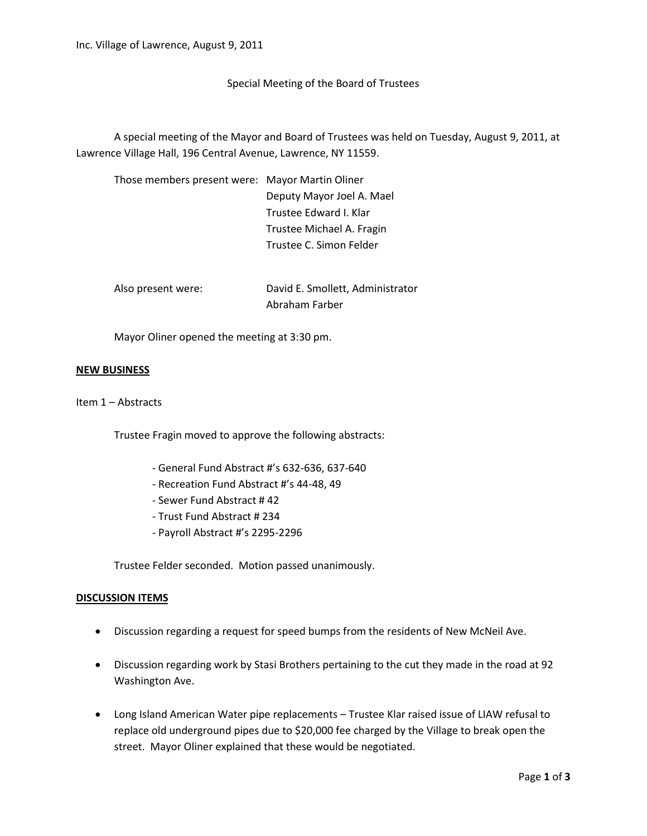Special Meeting of the Board of Trustees

A special meeting of the Mayor and Board of Trustees was held on Tuesday, August 9, 2011, at Lawrence Village Hall, 196 Central Avenue, Lawrence, NY 11559.

| Those members present were: Mayor Martin Oliner |                           |
|-------------------------------------------------|---------------------------|
|                                                 | Deputy Mayor Joel A. Mael |
|                                                 | Trustee Edward I. Klar    |
|                                                 | Trustee Michael A. Fragin |
|                                                 | Trustee C. Simon Felder   |
|                                                 |                           |

| Also present were: | David E. Smollett, Administrator |
|--------------------|----------------------------------|
|                    | Abraham Farber                   |

Mayor Oliner opened the meeting at 3:30 pm.

## **NEW BUSINESS**

Item 1 – Abstracts

Trustee Fragin moved to approve the following abstracts:

- General Fund Abstract #'s 632-636, 637-640
- Recreation Fund Abstract #'s 44-48, 49
- Sewer Fund Abstract # 42
- Trust Fund Abstract # 234
- Payroll Abstract #'s 2295-2296

Trustee Felder seconded. Motion passed unanimously.

## **DISCUSSION ITEMS**

- Discussion regarding a request for speed bumps from the residents of New McNeil Ave.
- Discussion regarding work by Stasi Brothers pertaining to the cut they made in the road at 92 Washington Ave.
- Long Island American Water pipe replacements Trustee Klar raised issue of LIAW refusal to replace old underground pipes due to \$20,000 fee charged by the Village to break open the street. Mayor Oliner explained that these would be negotiated.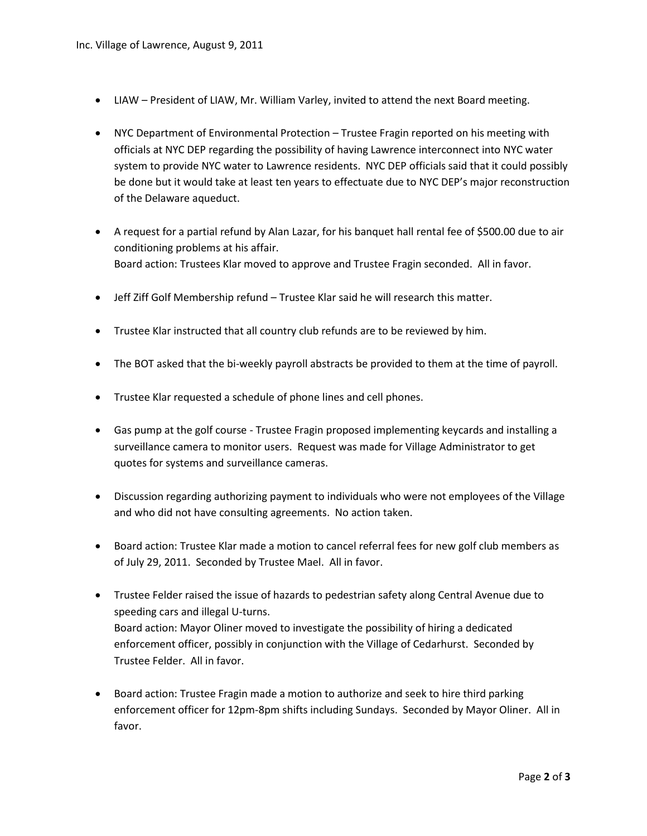- LIAW President of LIAW, Mr. William Varley, invited to attend the next Board meeting.
- NYC Department of Environmental Protection Trustee Fragin reported on his meeting with officials at NYC DEP regarding the possibility of having Lawrence interconnect into NYC water system to provide NYC water to Lawrence residents. NYC DEP officials said that it could possibly be done but it would take at least ten years to effectuate due to NYC DEP's major reconstruction of the Delaware aqueduct.
- A request for a partial refund by Alan Lazar, for his banquet hall rental fee of \$500.00 due to air conditioning problems at his affair. Board action: Trustees Klar moved to approve and Trustee Fragin seconded. All in favor.
- Jeff Ziff Golf Membership refund Trustee Klar said he will research this matter.
- Trustee Klar instructed that all country club refunds are to be reviewed by him.
- The BOT asked that the bi-weekly payroll abstracts be provided to them at the time of payroll.
- Trustee Klar requested a schedule of phone lines and cell phones.
- Gas pump at the golf course Trustee Fragin proposed implementing keycards and installing a surveillance camera to monitor users. Request was made for Village Administrator to get quotes for systems and surveillance cameras.
- Discussion regarding authorizing payment to individuals who were not employees of the Village and who did not have consulting agreements. No action taken.
- Board action: Trustee Klar made a motion to cancel referral fees for new golf club members as of July 29, 2011. Seconded by Trustee Mael. All in favor.
- Trustee Felder raised the issue of hazards to pedestrian safety along Central Avenue due to speeding cars and illegal U-turns. Board action: Mayor Oliner moved to investigate the possibility of hiring a dedicated enforcement officer, possibly in conjunction with the Village of Cedarhurst. Seconded by Trustee Felder. All in favor.
- Board action: Trustee Fragin made a motion to authorize and seek to hire third parking enforcement officer for 12pm-8pm shifts including Sundays. Seconded by Mayor Oliner. All in favor.